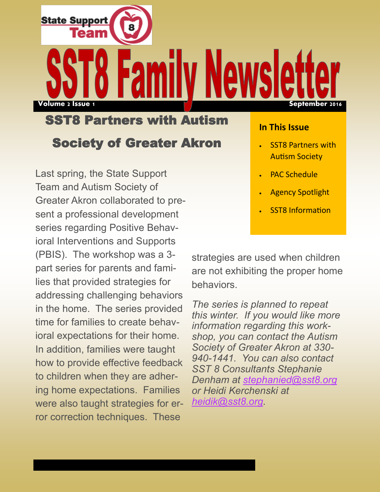SST8 Partners with Autism Society of Greater Akron

**State Support** 

**Volume 2 Issue 1 September 2016**

Last spring, the State Support Team and Autism Society of Greater Akron collaborated to present a professional development series regarding Positive Behavioral Interventions and Supports (PBIS). The workshop was a 3 part series for parents and families that provided strategies for addressing challenging behaviors in the home. The series provided time for families to create behavioral expectations for their home. In addition, families were taught how to provide effective feedback to children when they are adhering home expectations. Families were also taught strategies for error correction techniques. These

#### **In This Issue**

- SST8 Partners with Autism Society
- PAC Schedule
- Agency Spotlight
- SST8 Information

strategies are used when children are not exhibiting the proper home **behaviors** 

*The series is planned to repeat this winter. If you would like more information regarding this workshop, you can contact the Autism Society of Greater Akron at 330- 940-1441. You can also contact SST 8 Consultants Stephanie Denham at [stephanied@sst8.org](mailto:stephanied@sst8.org) or Heidi Kerchenski at [heidik@sst8.org.](mailto:heidik@sst8.org)*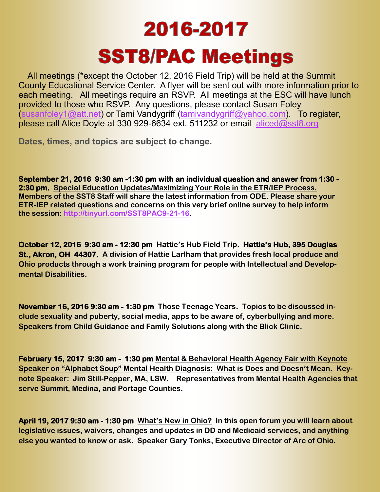# 2016-2017 **SST8/PAC Meetings**

All meetings (\*except the October 12, 2016 Field Trip) will be held at the Summit County Educational Service Center. A flyer will be sent out with more information prior to each meeting. All meetings require an RSVP. All meetings at the ESC will have lunch provided to those who RSVP. Any questions, please contact Susan Foley ([susanfoley1@att.net\)](mailto:susanfoley1@att.net) or Tami Vandygriff ([tamivandygriff@yahoo.com\)](mailto:tamivandygriff@yahoo.com). To register, please call Alice Doyle at 330 929-6634 ext. 511232 or email aliced@sst8.org

**Dates, times, and topics are subject to change.** 

**September 21, 2016 9:30 am -1:30 pm with an individual question and answer from 1:30 - 2:30 pm. Special Education Updates/Maximizing Your Role in the ETR/IEP Process. Members of the SST8 Staff will share the latest information from ODE. Please share your ETR-IEP related questions and concerns on this very brief online survey to help inform the session: [http://tinyurl.com/SST8PAC9-21-16.](http://tinyurl.com/SST8PAC9-21-16)**

**October 12, 2016 9:30 am - 12:30 pm Hattie's Hub Field Trip. Hattie's Hub, 395 Douglas St., Akron, OH 44307. A division of Hattie Larlham that provides fresh local produce and Ohio products through a work training program for people with Intellectual and Developmental Disabilities.** 

**November 16, 2016 9:30 am - 1:30 pm Those Teenage Years. Topics to be discussed include sexuality and puberty, social media, apps to be aware of, cyberbullying and more. Speakers from Child Guidance and Family Solutions along with the Blick Clinic.**

**February 15, 2017 9:30 am - 1:30 pm Mental & Behavioral Health Agency Fair with Keynote Speaker on "Alphabet Soup" Mental Health Diagnosis: What is Does and Doesn't Mean. Keynote Speaker: Jim Still-Pepper, MA, LSW. Representatives from Mental Health Agencies that serve Summit, Medina, and Portage Counties.** 

**April 19, 2017 9:30 am - 1:30 pm What's New in Ohio? In this open forum you will learn about legislative issues, waivers, changes and updates in DD and Medicaid services, and anything else you wanted to know or ask. Speaker Gary Tonks, Executive Director of Arc of Ohio.**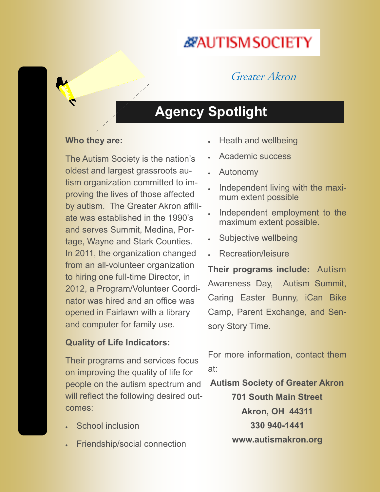## *<b><i>X***AUTISMSOCIETY**

### Greater Akron

### **Agency Spotlight**

### **Who they are:**

The Autism Society is the nation's oldest and largest grassroots autism organization committed to improving the lives of those affected by autism. The Greater Akron affiliate was established in the 1990's and serves Summit, Medina, Portage, Wayne and Stark Counties. In 2011, the organization changed from an all-volunteer organization to hiring one full-time Director, in 2012, a Program/Volunteer Coordinator was hired and an office was opened in Fairlawn with a library and computer for family use.

### **Quality of Life Indicators:**

Their programs and services focus on improving the quality of life for people on the autism spectrum and will reflect the following desired outcomes:

- School inclusion
- Friendship/social connection
- Heath and wellbeing
- Academic success
- Autonomy
- Independent living with the maximum extent possible
- Independent employment to the maximum extent possible.
- Subjective wellbeing
- Recreation/leisure

**Their programs include:** Autism Awareness Day, Autism Summit, Caring Easter Bunny, iCan Bike Camp, Parent Exchange, and Sensory Story Time.

For more information, contact them at:

**Autism Society of Greater Akron**

**701 South Main Street Akron, OH 44311 330 940-1441 www.autismakron.org**